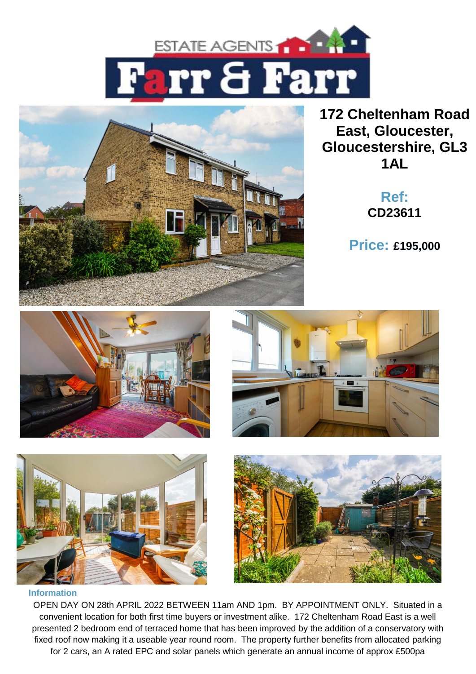



**172 Cheltenham Road East, Gloucester, Gloucestershire, GL3 1AL**

> **Ref: CD23611**

**Price: £195,000**









#### **Information**

OPEN DAY ON 28th APRIL 2022 BETWEEN 11am AND 1pm. BY APPOINTMENT ONLY. Situated in a convenient location for both first time buyers or investment alike. 172 Cheltenham Road East is a well presented 2 bedroom end of terraced home that has been improved by the addition of a conservatory with fixed roof now making it a useable year round room. The property further benefits from allocated parking for 2 cars, an A rated EPC and solar panels which generate an annual income of approx £500pa